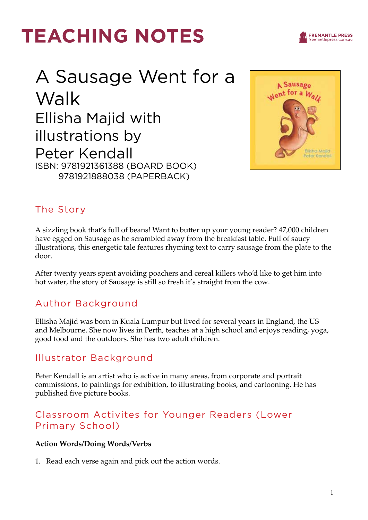## A Sausage Went for a Walk Ellisha Majid with illustrations by Peter Kendall ISBN: 9781921361388 (Board Book) 9781921888038 (Paperback)



**FREMANTLE PRESS** - ----- --- -- -- - - ----<br>fremantlepress.com.a

### The Story

A sizzling book that's full of beans! Want to butter up your young reader? 47,000 children have egged on Sausage as he scrambled away from the breakfast table. Full of saucy illustrations, this energetic tale features rhyming text to carry sausage from the plate to the door.

After twenty years spent avoiding poachers and cereal killers who'd like to get him into hot water, the story of Sausage is still so fresh it's straight from the cow.

### Author Background

Ellisha Majid was born in Kuala Lumpur but lived for several years in England, the US and Melbourne. She now lives in Perth, teaches at a high school and enjoys reading, yoga, good food and the outdoors. She has two adult children.

### Illustrator Background

Peter Kendall is an artist who is active in many areas, from corporate and portrait commissions, to paintings for exhibition, to illustrating books, and cartooning. He has published five picture books.

### Classroom Activites for Younger Readers (Lower Primary School)

#### **Action Words/Doing Words/Verbs**

1. Read each verse again and pick out the action words.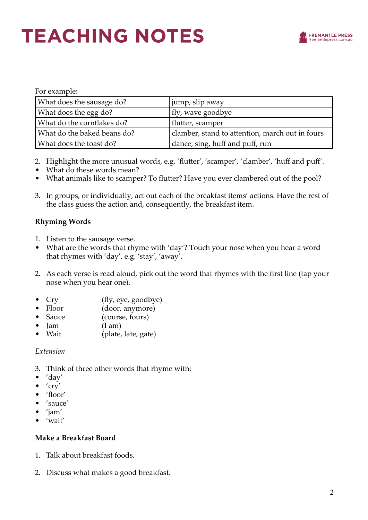| For example:                |                                                 |
|-----------------------------|-------------------------------------------------|
| What does the sausage do?   | jump, slip away                                 |
| What does the egg do?       | fly, wave goodbye                               |
| What do the cornflakes do?  | flutter, scamper                                |
| What do the baked beans do? | clamber, stand to attention, march out in fours |
| What does the toast do?     | dance, sing, huff and puff, run                 |

- 2. Highlight the more unusual words, e.g. 'flutter', 'scamper', 'clamber', 'huff and puff'.
- What do these words mean?
- What animals like to scamper? To flutter? Have you ever clambered out of the pool?
- 3. In groups, or individually, act out each of the breakfast items' actions. Have the rest of the class guess the action and, consequently, the breakfast item.

#### **Rhyming Words**

- 1. Listen to the sausage verse.
- What are the words that rhyme with 'day'? Touch your nose when you hear a word that rhymes with 'day', e.g. 'stay', 'away'.
- 2. As each verse is read aloud, pick out the word that rhymes with the first line (tap your nose when you hear one).
- Cry (fly, eye, goodbye)
- Floor (door, anymore)
- Sauce (course, fours)
- $\text{lam}$  (I am)
- Wait (plate, late, gate)

#### *Extension*

- 3. Think of three other words that rhyme with:
- 'day'
- $\bullet$   $'$ cry'
- 'floor'
- 'sauce'
- 'jam'
- 'wait'

#### **Make a Breakfast Board**

- 1. Talk about breakfast foods.
- 2. Discuss what makes a good breakfast.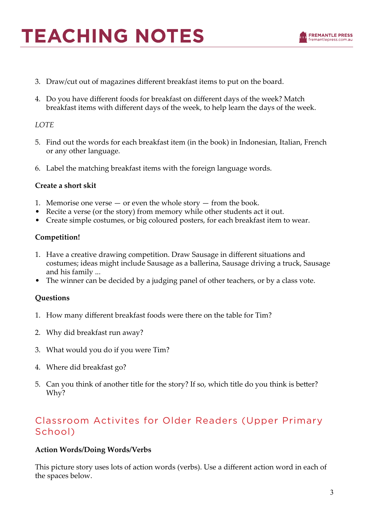- 3. Draw/cut out of magazines different breakfast items to put on the board.
- 4. Do you have different foods for breakfast on different days of the week? Match breakfast items with different days of the week, to help learn the days of the week.

#### *LOTE*

- 5. Find out the words for each breakfast item (in the book) in Indonesian, Italian, French or any other language.
- 6. Label the matching breakfast items with the foreign language words.

#### **Create a short skit**

- 1. Memorise one verse  $-$  or even the whole story  $-$  from the book.
- Recite a verse (or the story) from memory while other students act it out.
- Create simple costumes, or big coloured posters, for each breakfast item to wear.

#### **Competition!**

- 1. Have a creative drawing competition. Draw Sausage in different situations and costumes; ideas might include Sausage as a ballerina, Sausage driving a truck, Sausage and his family ...
- The winner can be decided by a judging panel of other teachers, or by a class vote.

#### **Questions**

- 1. How many different breakfast foods were there on the table for Tim?
- 2. Why did breakfast run away?
- 3. What would you do if you were Tim?
- 4. Where did breakfast go?
- 5. Can you think of another title for the story? If so, which title do you think is better? Why?

### Classroom Activites for Older Readers (Upper Primary School)

#### **Action Words/Doing Words/Verbs**

This picture story uses lots of action words (verbs). Use a different action word in each of the spaces below.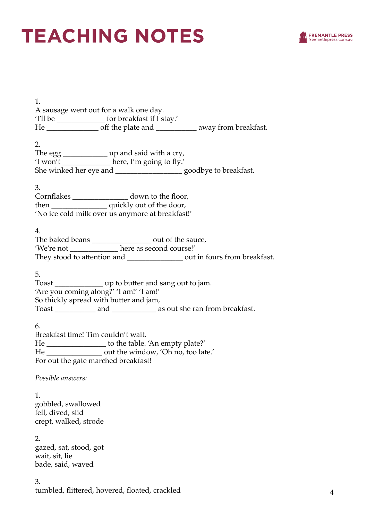

| 1.<br>A sausage went out for a walk one day.<br>Tll be _____________________ for breakfast if I stay.'                                                                                                |
|-------------------------------------------------------------------------------------------------------------------------------------------------------------------------------------------------------|
| 2.<br>The egg ________________ up and said with a cry,<br>'I won't _____________ here, I'm going to fly.'<br>She winked her eye and ______________________ goodbye to breakfast.                      |
| 3.<br>Cornflakes ________________ down to the floor,<br>then ___________________ quickly out of the door,<br>'No ice cold milk over us anymore at breakfast!'                                         |
| 4.<br>The baked beans ________________ out of the sauce,<br>'We're not _______________ here as second course!'<br>They stood to attention and __________________ out in fours from breakfast.         |
| 5.<br>Toast _________________ up to butter and sang out to jam.<br>'Are you coming along?' 'I am!' 'I am!'<br>So thickly spread with butter and jam,                                                  |
| 6.<br>Breakfast time! Tim couldn't wait.<br>He ___________________ to the table. 'An empty plate?'<br>He __________________ out the window, 'Oh no, too late.'<br>For out the gate marched breakfast! |
| Possible answers:                                                                                                                                                                                     |
| 1.<br>gobbled, swallowed<br>fell, dived, slid<br>crept, walked, strode                                                                                                                                |
| 2.<br>gazed, sat, stood, got<br>wait, sit, lie<br>bade, said, waved                                                                                                                                   |
| 3.<br>tumbled, flittered, hovered, floated, crackled                                                                                                                                                  |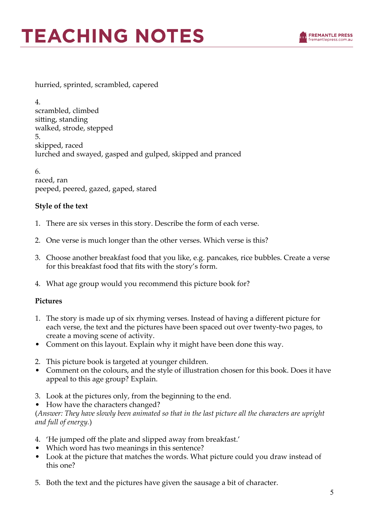

hurried, sprinted, scrambled, capered

4. scrambled, climbed sitting, standing walked, strode, stepped 5. skipped, raced lurched and swayed, gasped and gulped, skipped and pranced

6. raced, ran peeped, peered, gazed, gaped, stared

#### **Style of the text**

- 1. There are six verses in this story. Describe the form of each verse.
- 2. One verse is much longer than the other verses. Which verse is this?
- 3. Choose another breakfast food that you like, e.g. pancakes, rice bubbles. Create a verse for this breakfast food that fits with the story's form.
- 4. What age group would you recommend this picture book for?

#### **Pictures**

- 1. The story is made up of six rhyming verses. Instead of having a different picture for each verse, the text and the pictures have been spaced out over twenty-two pages, to create a moving scene of activity.
- Comment on this layout. Explain why it might have been done this way.
- 2. This picture book is targeted at younger children.
- Comment on the colours, and the style of illustration chosen for this book. Does it have appeal to this age group? Explain.
- 3. Look at the pictures only, from the beginning to the end.
- How have the characters changed?

(*Answer: They have slowly been animated so that in the last picture all the characters are upright and full of energy.*)

- 4. 'He jumped off the plate and slipped away from breakfast.'
- Which word has two meanings in this sentence?
- Look at the picture that matches the words. What picture could you draw instead of this one?
- 5. Both the text and the pictures have given the sausage a bit of character.